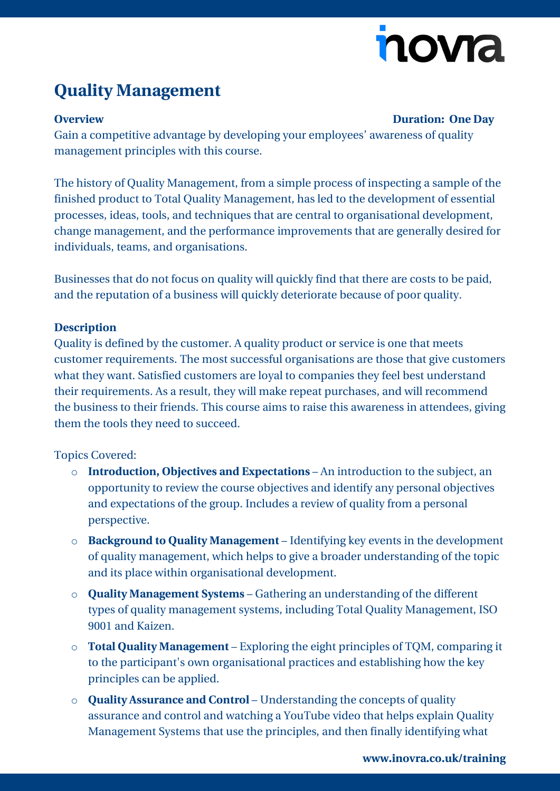# nova

## **Quality Management**

#### **Overview Duration: One Day**

Gain a competitive advantage by developing your employees' awareness of quality management principles with this course.

The history of Quality Management, from a simple process of inspecting a sample of the finished product to Total Quality Management, has led to the development of essential processes, ideas, tools, and techniques that are central to organisational development, change management, and the performance improvements that are generally desired for individuals, teams, and organisations.

Businesses that do not focus on quality will quickly find that there are costs to be paid, and the reputation of a business will quickly deteriorate because of poor quality.

#### **Description**

Quality is defined by the customer. A quality product or service is one that meets customer requirements. The most successful organisations are those that give customers what they want. Satisfied customers are loyal to companies they feel best understand their requirements. As a result, they will make repeat purchases, and will recommend the business to their friends. This course aims to raise this awareness in attendees, giving them the tools they need to succeed.

### Topics Covered:

- o **Introduction, Objectives and Expectations**  An introduction to the subject, an opportunity to review the course objectives and identify any personal objectives and expectations of the group. Includes a review of quality from a personal perspective.
- o **Background to Quality Management**  Identifying key events in the development of quality management, which helps to give a broader understanding of the topic and its place within organisational development.
- o **Quality Management Systems**  Gathering an understanding of the different types of quality management systems, including Total Quality Management, ISO 9001 and Kaizen.
- o **Total Quality Management**  Exploring the eight principles of TQM, comparing it to the participant's own organisational practices and establishing how the key principles can be applied.
- o **Quality Assurance and Control**  Understanding the concepts of quality assurance and control and watching a YouTube video that helps explain Quality Management Systems that use the principles, and then finally identifying what